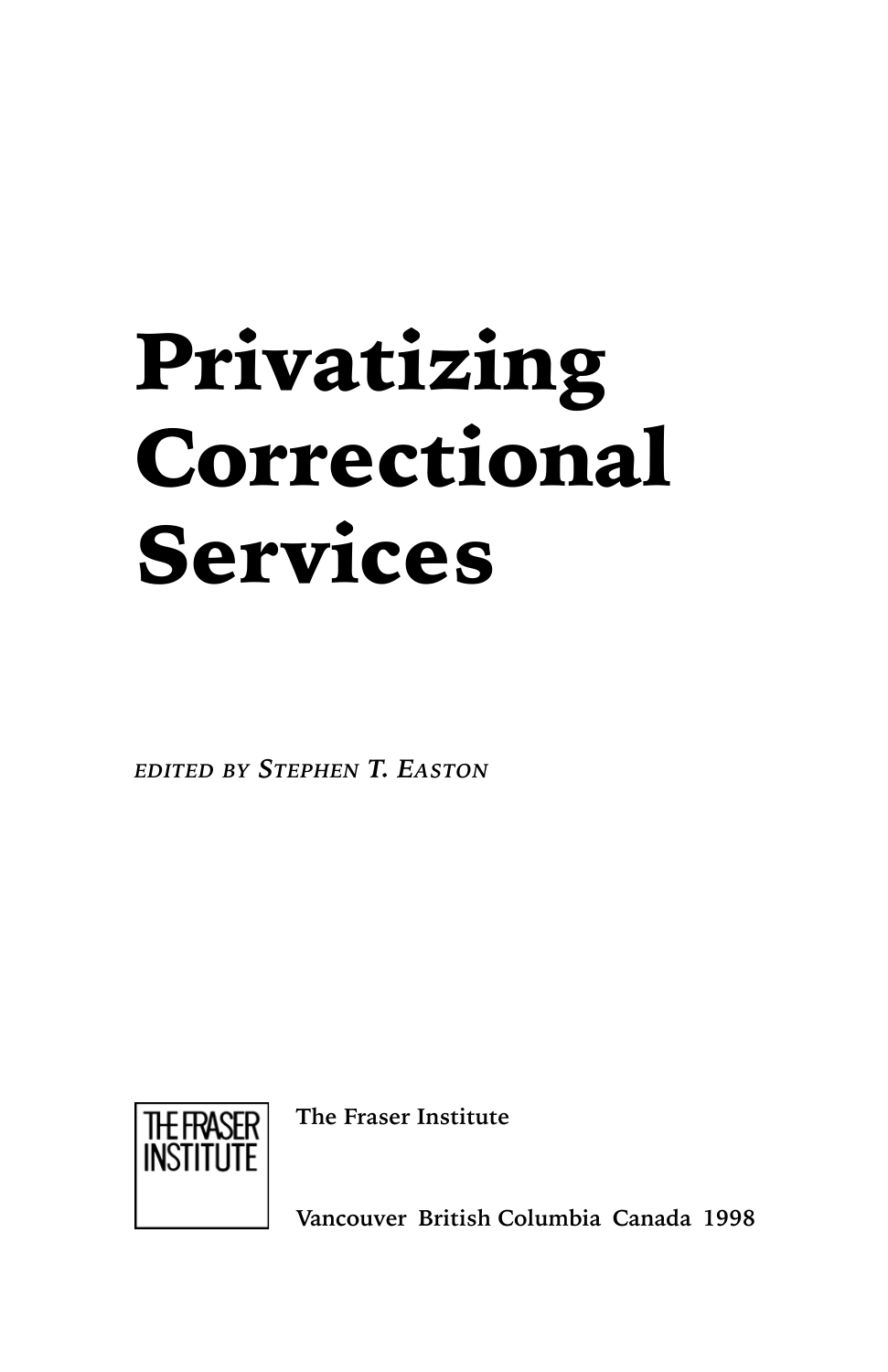# Privatizing Correctional Services

*EDITED BY STEPHEN T. EASTON*



**The Fraser Institute**

**Vancouver British Columbia Canada 1998**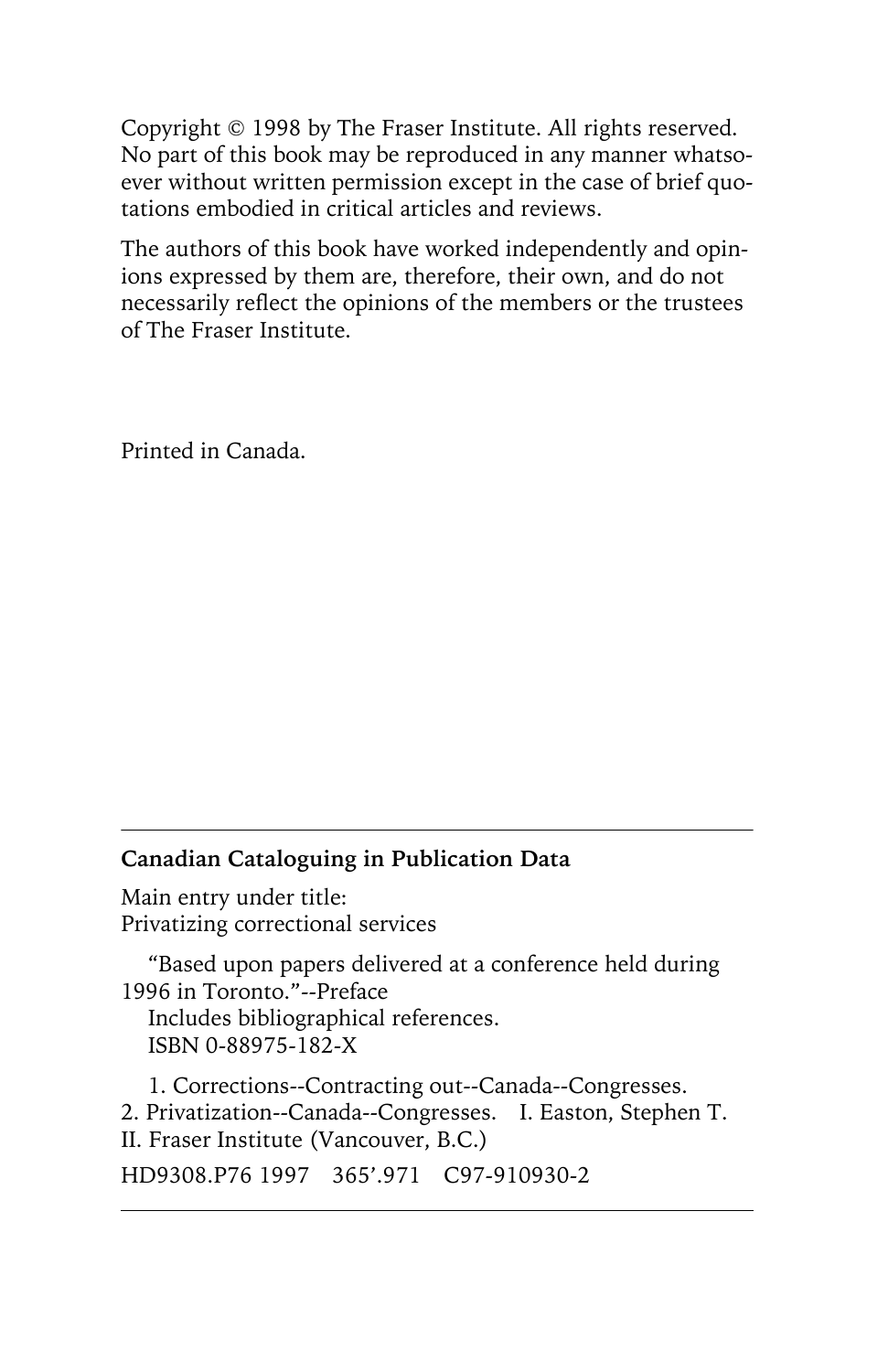Copyright © 1998 by The Fraser Institute. All rights reserved. No part of this book may be reproduced in any manner whatsoever without written permission except in the case of brief quotations embodied in critical articles and reviews.

The authors of this book have worked independently and opinions expressed by them are, therefore, their own, and do not necessarily reflect the opinions of the members or the trustees of The Fraser Institute.

Printed in Canada.

### **Canadian Cataloguing in Publication Data**

Main entry under title: Privatizing correctional services

"Based upon papers delivered at a conference held during 1996 in Toronto."--Preface Includes bibliographical references. ISBN 0-88975-182-X

1. Corrections--Contracting out--Canada--Congresses. 2. Privatization--Canada--Congresses. I. Easton, Stephen T. II. Fraser Institute (Vancouver, B.C.) HD9308.P76 1997 365'.971 C97-910930-2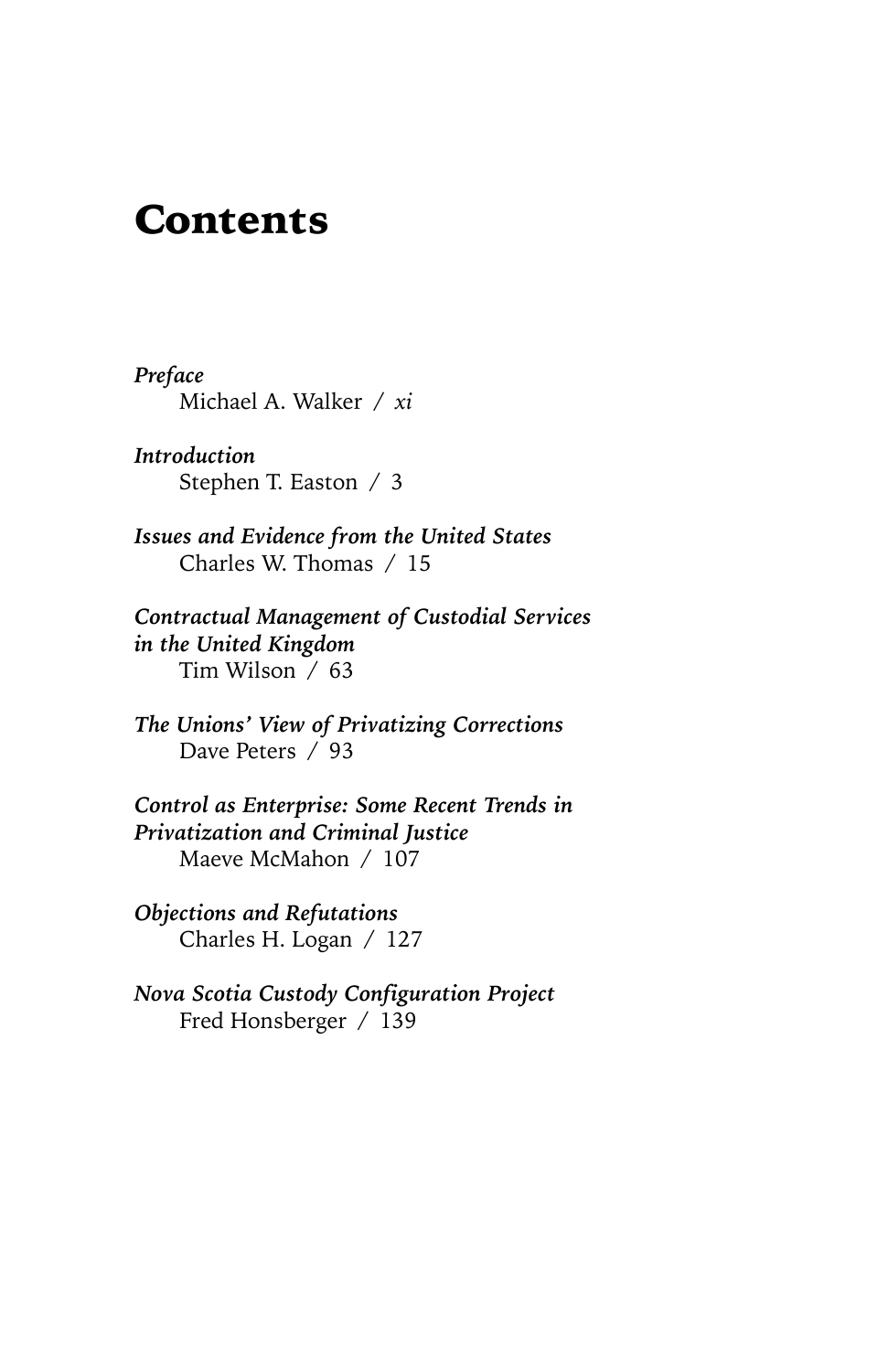### Contents

*Preface* Michael A. Walker / *xi*

*Introduction* Stephen T. Easton / 3

*Issues and Evidence from the United States* Charles W. Thomas / 15

*Contractual Management of Custodial Services in the United Kingdom* Tim Wilson / 63

*The Unions' View of Privatizing Corrections* Dave Peters / 93

*Control as Enterprise: Some Recent Trends in Privatization and Criminal Justice* Maeve McMahon / 107

*Objections and Refutations* Charles H. Logan / 127

*Nova Scotia Custody Configuration Project* Fred Honsberger / 139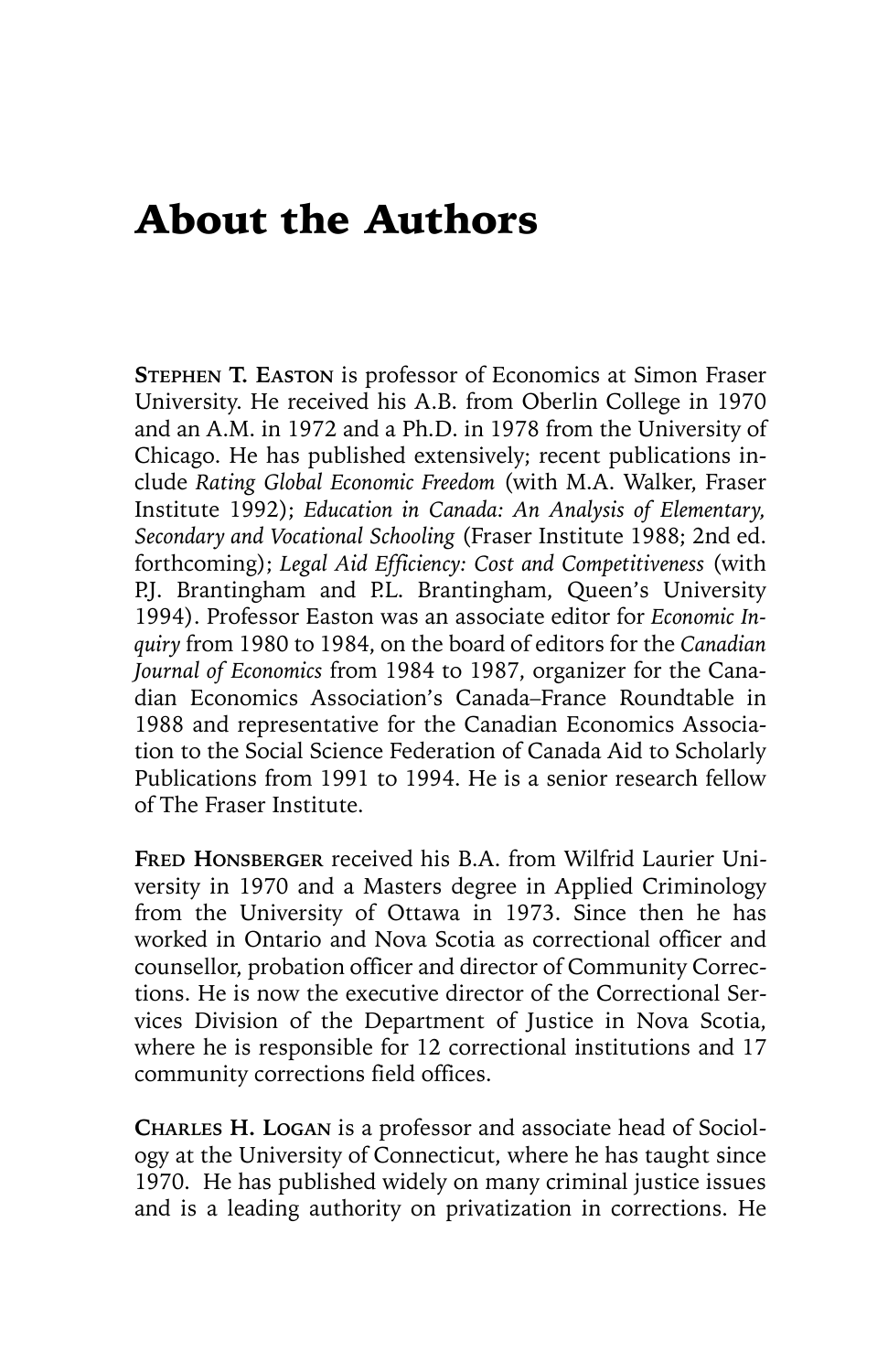### About the Authors

**STEPHEN T. EASTON** is professor of Economics at Simon Fraser University. He received his A.B. from Oberlin College in 1970 and an A.M. in 1972 and a Ph.D. in 1978 from the University of Chicago. He has published extensively; recent publications include *Rating Global Economic Freedom* (with M.A. Walker, Fraser Institute 1992); *Education in Canada: An Analysis of Elementary, Secondary and Vocational Schooling* (Fraser Institute 1988; 2nd ed. forthcoming); *Legal Aid Efficiency: Cost and Competitiveness* (with P.J. Brantingham and P.L. Brantingham, Queen's University 1994). Professor Easton was an associate editor for *Economic Inquiry* from 1980 to 1984, on the board of editors for the *Canadian Journal of Economics* from 1984 to 1987, organizer for the Canadian Economics Association's Canada–France Roundtable in 1988 and representative for the Canadian Economics Association to the Social Science Federation of Canada Aid to Scholarly Publications from 1991 to 1994. He is a senior research fellow of The Fraser Institute.

**FRED HONSBERGER** received his B.A. from Wilfrid Laurier University in 1970 and a Masters degree in Applied Criminology from the University of Ottawa in 1973. Since then he has worked in Ontario and Nova Scotia as correctional officer and counsellor, probation officer and director of Community Corrections. He is now the executive director of the Correctional Services Division of the Department of Justice in Nova Scotia, where he is responsible for 12 correctional institutions and 17 community corrections field offices.

**CHARLES H. LOGAN** is a professor and associate head of Sociology at the University of Connecticut, where he has taught since 1970. He has published widely on many criminal justice issues and is a leading authority on privatization in corrections. He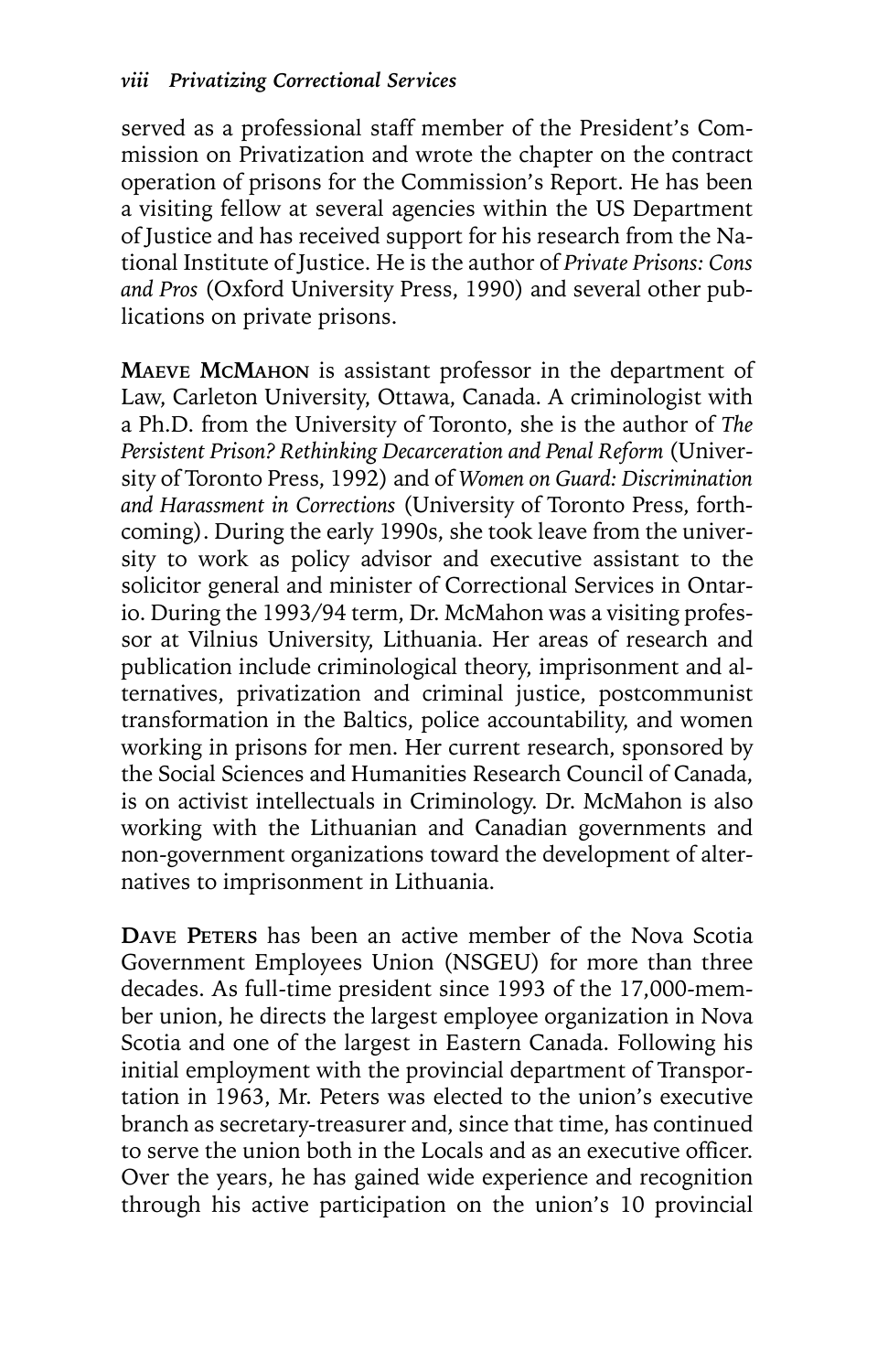served as a professional staff member of the President's Commission on Privatization and wrote the chapter on the contract operation of prisons for the Commission's Report. He has been a visiting fellow at several agencies within the US Department of Justice and has received support for his research from the National Institute of Justice. He is the author of *Private Prisons: Cons and Pros* (Oxford University Press, 1990) and several other publications on private prisons.

**MAEVE MCMAHON** is assistant professor in the department of Law, Carleton University, Ottawa, Canada. A criminologist with a Ph.D. from the University of Toronto, she is the author of *The Persistent Prison? Rethinking Decarceration and Penal Reform* (University of Toronto Press, 1992) and of *Women on Guard: Discrimination and Harassment in Corrections* (University of Toronto Press, forthcoming). During the early 1990s, she took leave from the university to work as policy advisor and executive assistant to the solicitor general and minister of Correctional Services in Ontario. During the 1993/94 term, Dr. McMahon was a visiting professor at Vilnius University, Lithuania. Her areas of research and publication include criminological theory, imprisonment and alternatives, privatization and criminal justice, postcommunist transformation in the Baltics, police accountability, and women working in prisons for men. Her current research, sponsored by the Social Sciences and Humanities Research Council of Canada, is on activist intellectuals in Criminology. Dr. McMahon is also working with the Lithuanian and Canadian governments and non-government organizations toward the development of alternatives to imprisonment in Lithuania.

**DAVE PETERS** has been an active member of the Nova Scotia Government Employees Union (NSGEU) for more than three decades. As full-time president since 1993 of the 17,000-member union, he directs the largest employee organization in Nova Scotia and one of the largest in Eastern Canada. Following his initial employment with the provincial department of Transportation in 1963, Mr. Peters was elected to the union's executive branch as secretary-treasurer and, since that time, has continued to serve the union both in the Locals and as an executive officer. Over the years, he has gained wide experience and recognition through his active participation on the union's 10 provincial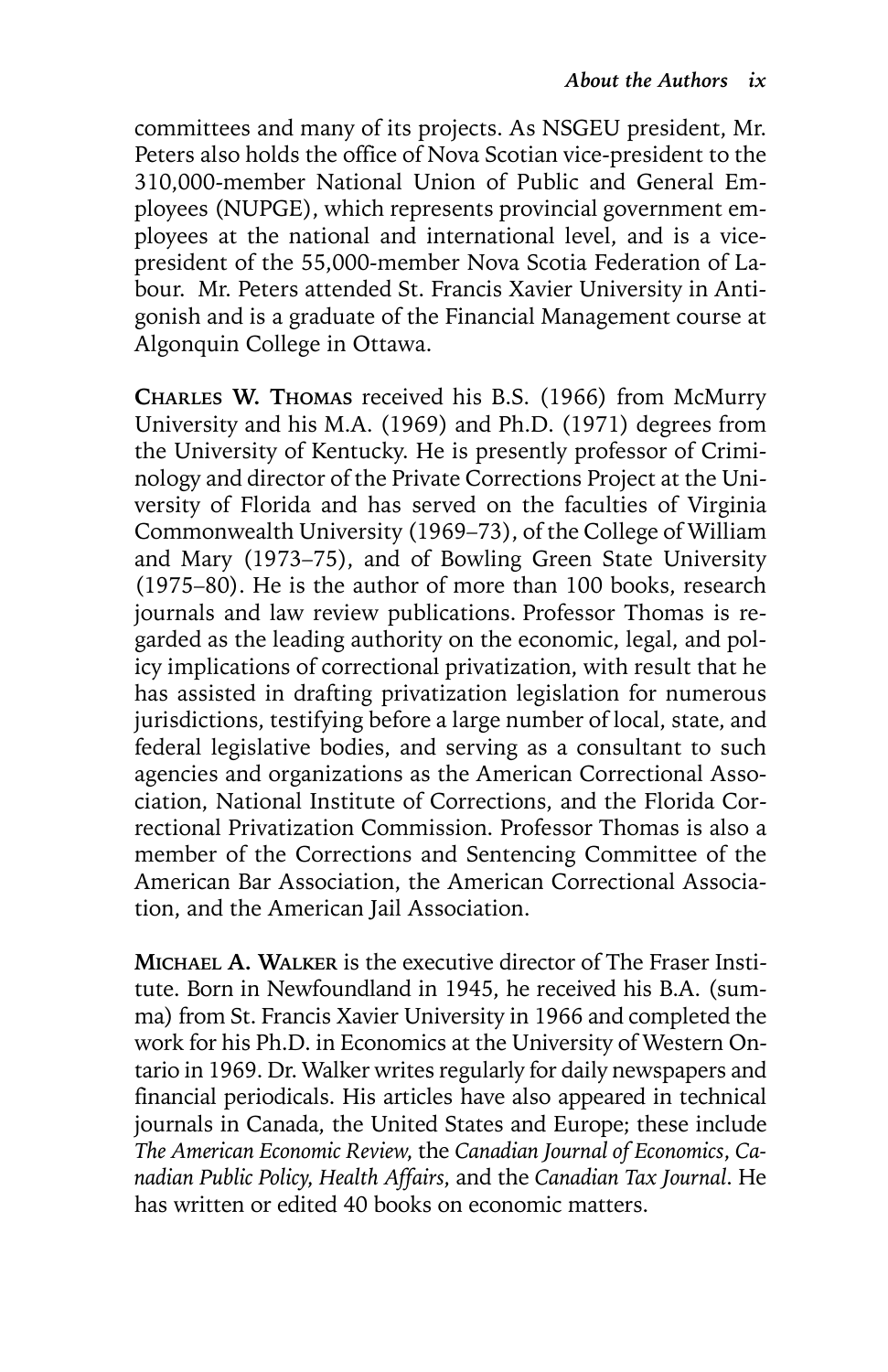committees and many of its projects. As NSGEU president, Mr. Peters also holds the office of Nova Scotian vice-president to the 310,000-member National Union of Public and General Employees (NUPGE), which represents provincial government employees at the national and international level, and is a vicepresident of the 55,000-member Nova Scotia Federation of Labour. Mr. Peters attended St. Francis Xavier University in Antigonish and is a graduate of the Financial Management course at Algonquin College in Ottawa.

**CHARLES W. THOMAS** received his B.S. (1966) from McMurry University and his M.A. (1969) and Ph.D. (1971) degrees from the University of Kentucky. He is presently professor of Criminology and director of the Private Corrections Project at the University of Florida and has served on the faculties of Virginia Commonwealth University (1969–73), of the College of William and Mary (1973–75), and of Bowling Green State University (1975–80). He is the author of more than 100 books, research journals and law review publications. Professor Thomas is regarded as the leading authority on the economic, legal, and policy implications of correctional privatization, with result that he has assisted in drafting privatization legislation for numerous jurisdictions, testifying before a large number of local, state, and federal legislative bodies, and serving as a consultant to such agencies and organizations as the American Correctional Association, National Institute of Corrections, and the Florida Correctional Privatization Commission. Professor Thomas is also a member of the Corrections and Sentencing Committee of the American Bar Association, the American Correctional Association, and the American Jail Association.

**MICHAEL A. WALKER** is the executive director of The Fraser Institute. Born in Newfoundland in 1945, he received his B.A. (summa) from St. Francis Xavier University in 1966 and completed the work for his Ph.D. in Economics at the University of Western Ontario in 1969. Dr. Walker writes regularly for daily newspapers and financial periodicals. His articles have also appeared in technical journals in Canada, the United States and Europe; these include *The American Economic Review*, the *Canadian Journal of Economics*, *Canadian Public Policy*, *Health Affairs*, and the *Canadian Tax Journal*. He has written or edited 40 books on economic matters.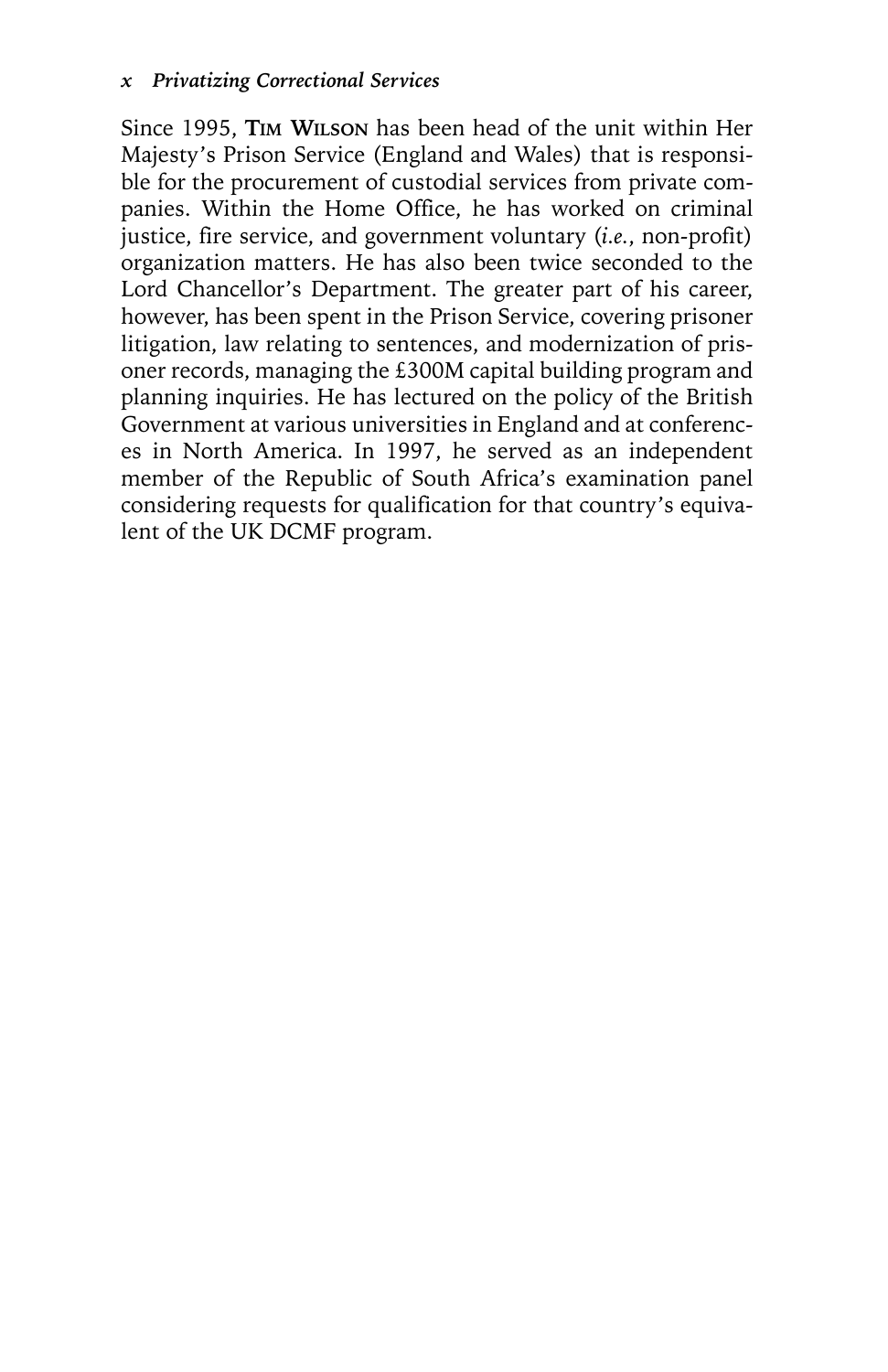Since 1995, **TIM WILSON** has been head of the unit within Her Majesty's Prison Service (England and Wales) that is responsible for the procurement of custodial services from private companies. Within the Home Office, he has worked on criminal justice, fire service, and government voluntary (*i.e.*, non-profit) organization matters. He has also been twice seconded to the Lord Chancellor's Department. The greater part of his career, however, has been spent in the Prison Service, covering prisoner litigation, law relating to sentences, and modernization of prisoner records, managing the £300M capital building program and planning inquiries. He has lectured on the policy of the British Government at various universities in England and at conferences in North America. In 1997, he served as an independent member of the Republic of South Africa's examination panel considering requests for qualification for that country's equivalent of the UK DCMF program.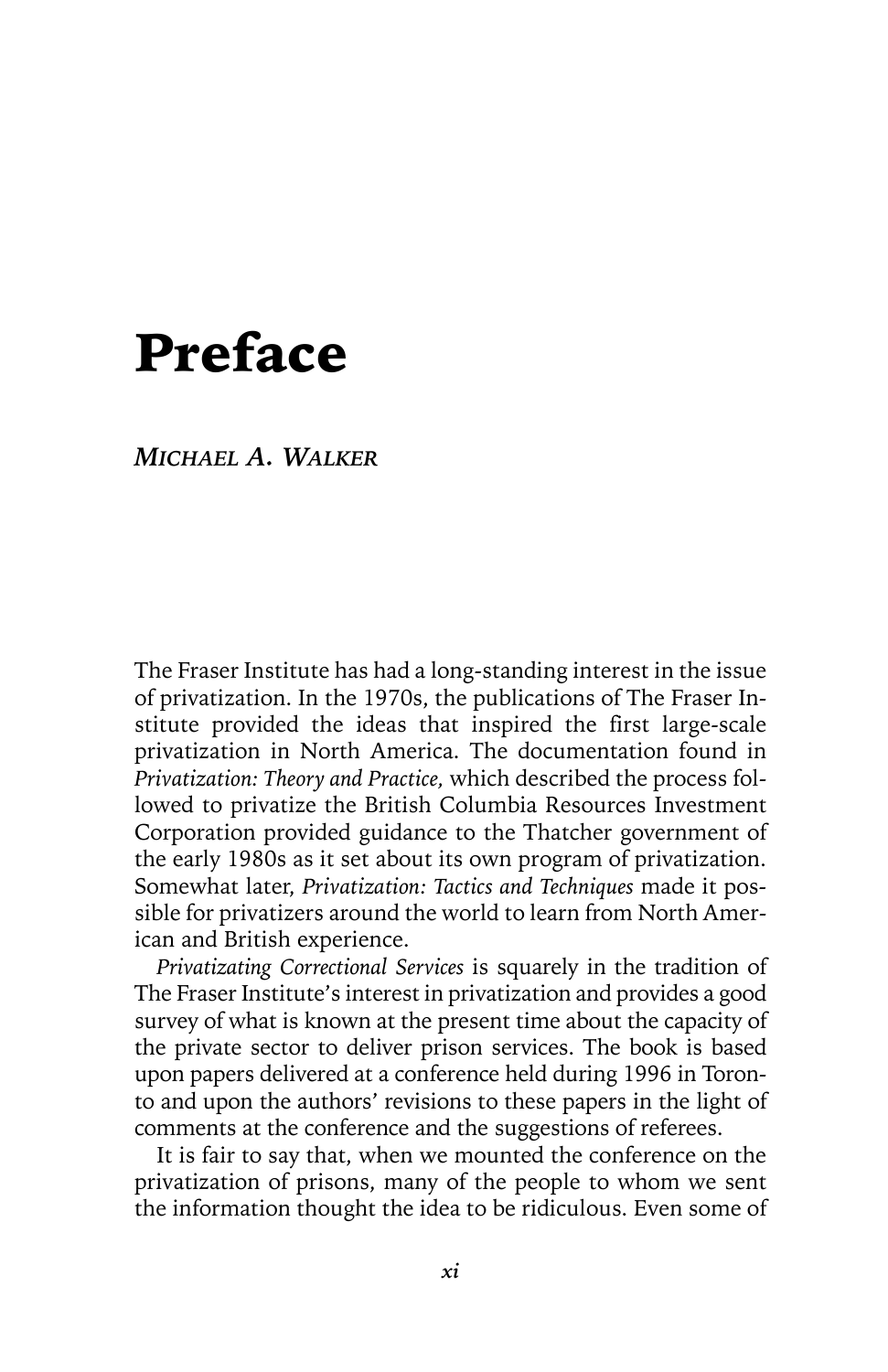## Preface

#### *MICHAEL A. WALKER*

The Fraser Institute has had a long-standing interest in the issue of privatization. In the 1970s, the publications of The Fraser Institute provided the ideas that inspired the first large-scale privatization in North America. The documentation found in *Privatization: Theory and Practice,* which described the process followed to privatize the British Columbia Resources Investment Corporation provided guidance to the Thatcher government of the early 1980s as it set about its own program of privatization. Somewhat later, *Privatization: Tactics and Techniques* made it possible for privatizers around the world to learn from North American and British experience.

*Privatizating Correctional Services* is squarely in the tradition of The Fraser Institute's interest in privatization and provides a good survey of what is known at the present time about the capacity of the private sector to deliver prison services. The book is based upon papers delivered at a conference held during 1996 in Toronto and upon the authors' revisions to these papers in the light of comments at the conference and the suggestions of referees.

It is fair to say that, when we mounted the conference on the privatization of prisons, many of the people to whom we sent the information thought the idea to be ridiculous. Even some of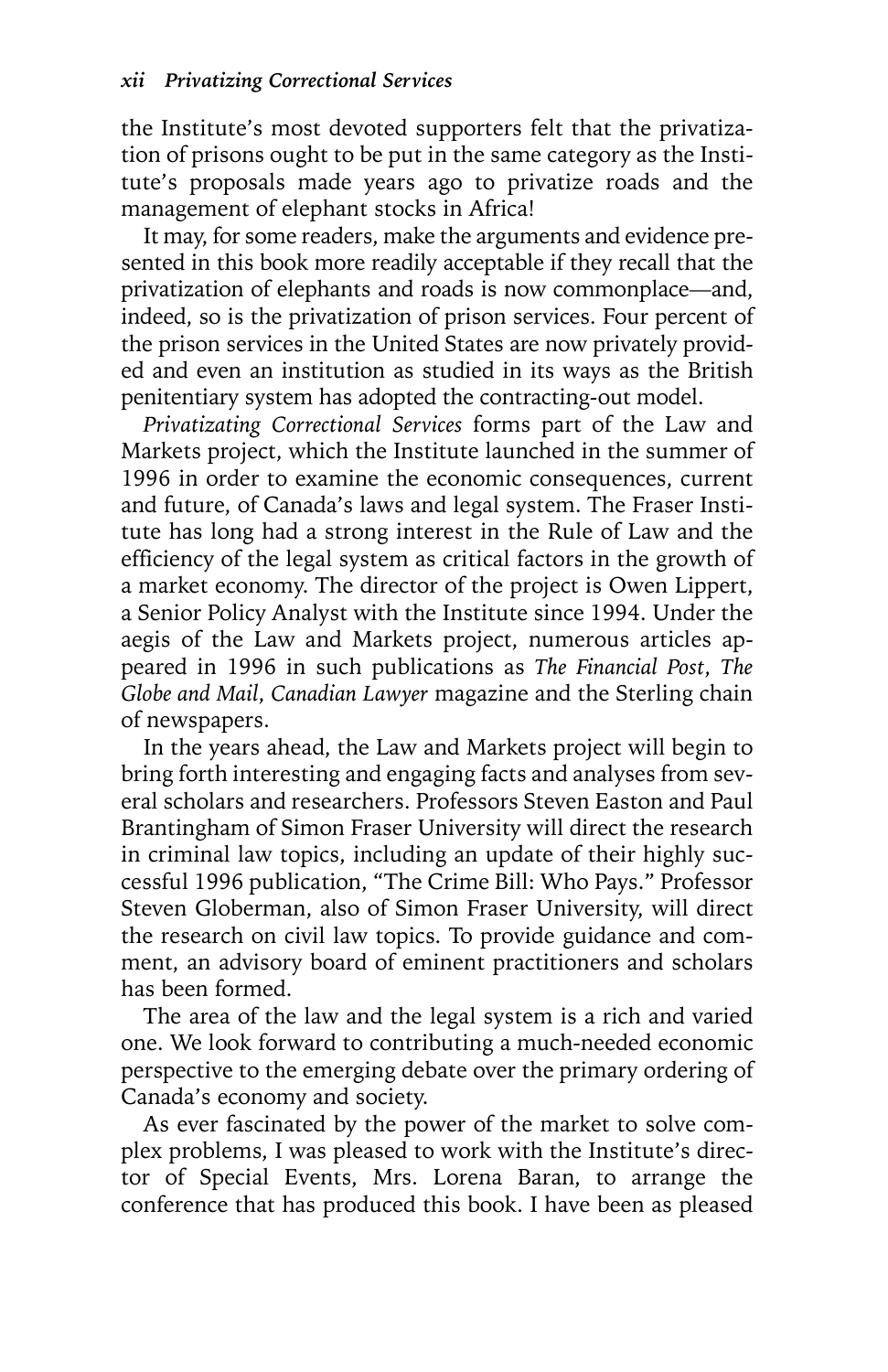the Institute's most devoted supporters felt that the privatization of prisons ought to be put in the same category as the Institute's proposals made years ago to privatize roads and the management of elephant stocks in Africa!

It may, for some readers, make the arguments and evidence presented in this book more readily acceptable if they recall that the privatization of elephants and roads is now commonplace—and, indeed, so is the privatization of prison services. Four percent of the prison services in the United States are now privately provided and even an institution as studied in its ways as the British penitentiary system has adopted the contracting-out model.

*Privatizating Correctional Services* forms part of the Law and Markets project, which the Institute launched in the summer of 1996 in order to examine the economic consequences, current and future, of Canada's laws and legal system. The Fraser Institute has long had a strong interest in the Rule of Law and the efficiency of the legal system as critical factors in the growth of a market economy. The director of the project is Owen Lippert, a Senior Policy Analyst with the Institute since 1994. Under the aegis of the Law and Markets project, numerous articles appeared in 1996 in such publications as *The Financial Post*, *The Globe and Mail*, *Canadian Lawyer* magazine and the Sterling chain of newspapers.

In the years ahead, the Law and Markets project will begin to bring forth interesting and engaging facts and analyses from several scholars and researchers. Professors Steven Easton and Paul Brantingham of Simon Fraser University will direct the research in criminal law topics, including an update of their highly successful 1996 publication, "The Crime Bill: Who Pays." Professor Steven Globerman, also of Simon Fraser University, will direct the research on civil law topics. To provide guidance and comment, an advisory board of eminent practitioners and scholars has been formed.

The area of the law and the legal system is a rich and varied one. We look forward to contributing a much-needed economic perspective to the emerging debate over the primary ordering of Canada's economy and society.

As ever fascinated by the power of the market to solve complex problems, I was pleased to work with the Institute's director of Special Events, Mrs. Lorena Baran, to arrange the conference that has produced this book. I have been as pleased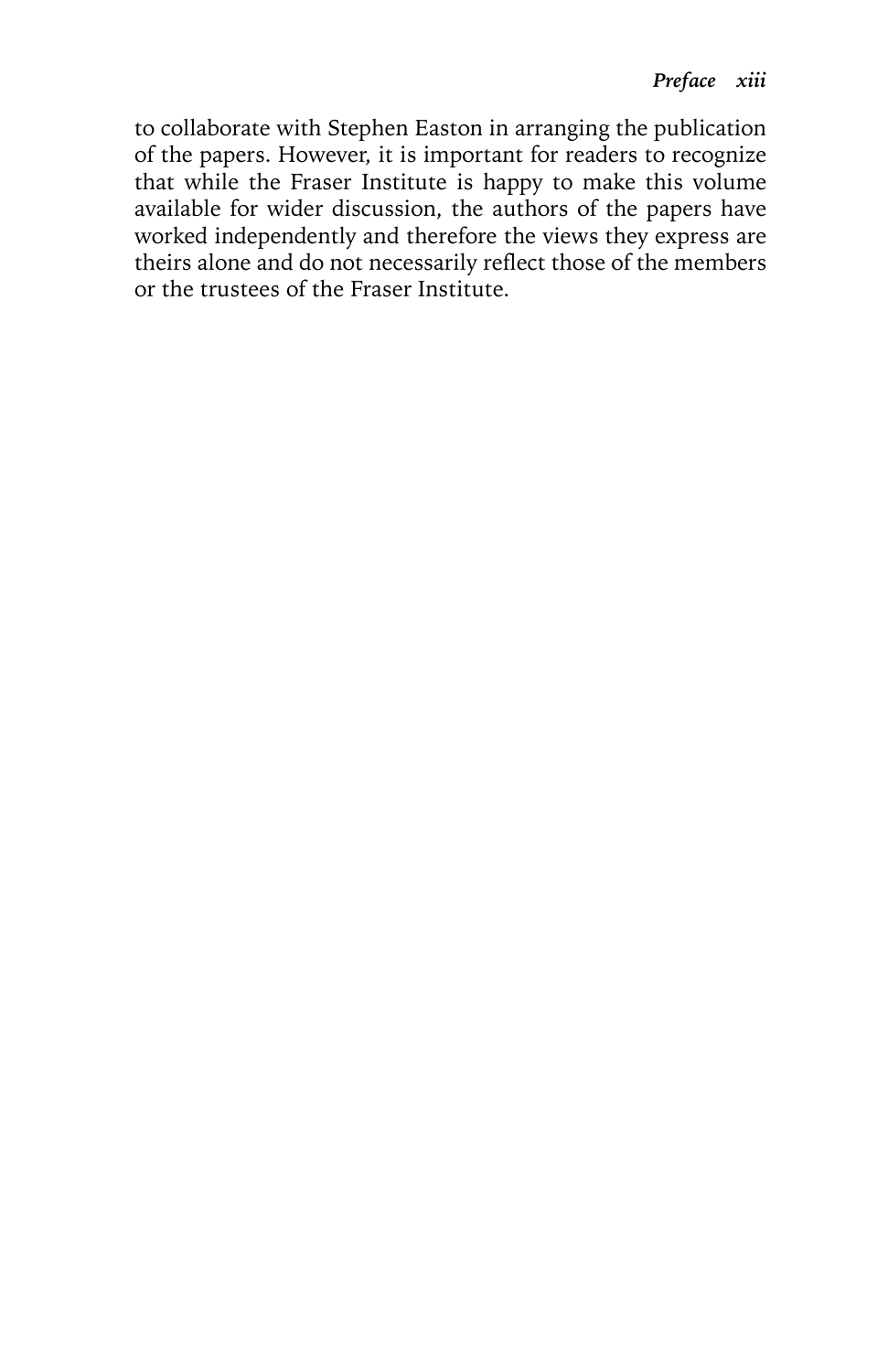to collaborate with Stephen Easton in arranging the publication of the papers. However, it is important for readers to recognize that while the Fraser Institute is happy to make this volume available for wider discussion, the authors of the papers have worked independently and therefore the views they express are theirs alone and do not necessarily reflect those of the members or the trustees of the Fraser Institute.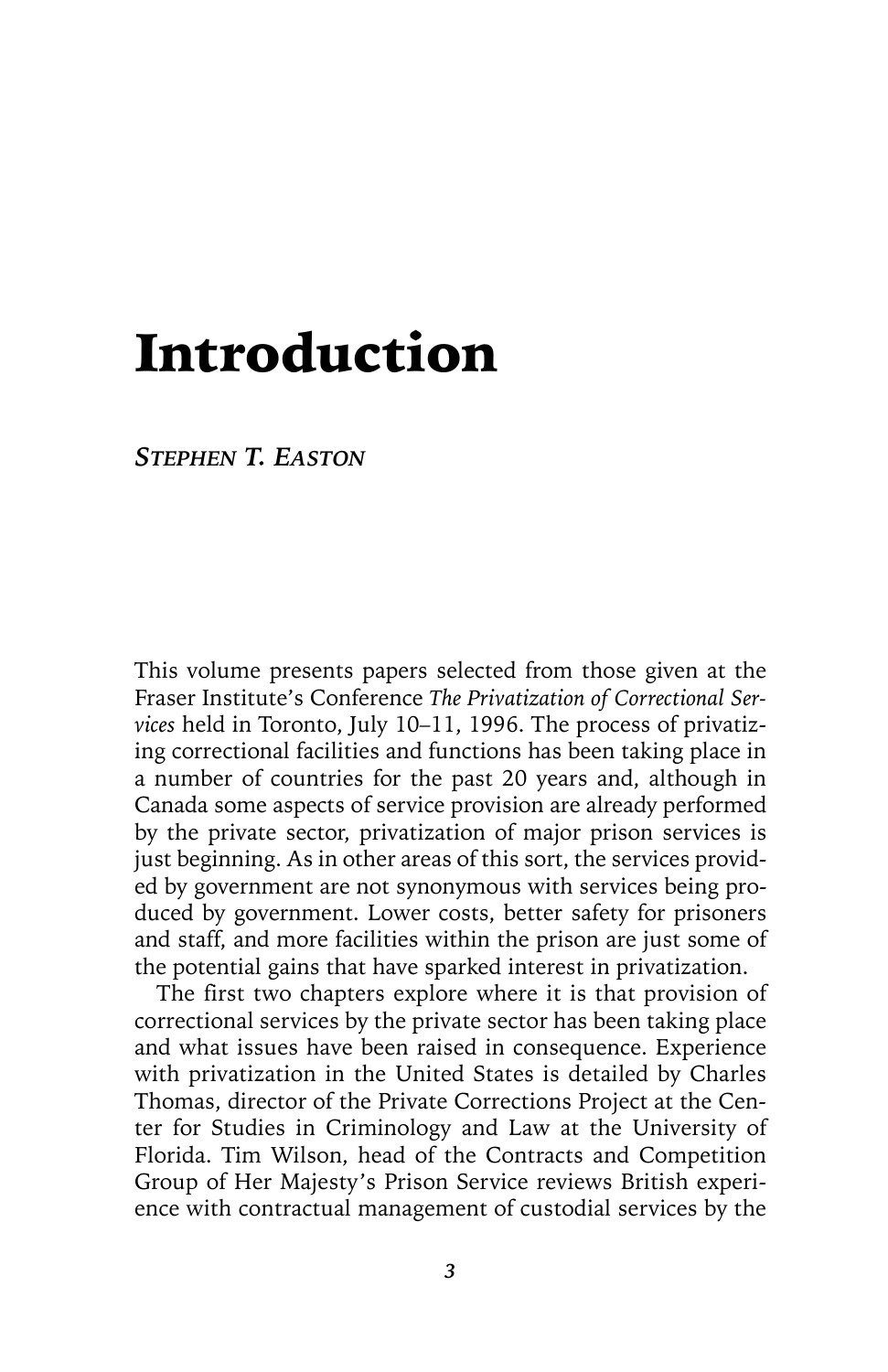# Introduction

*STEPHEN T. EASTON*

This volume presents papers selected from those given at the Fraser Institute's Conference *The Privatization of Correctional Services* held in Toronto, July 10–11, 1996. The process of privatizing correctional facilities and functions has been taking place in a number of countries for the past 20 years and, although in Canada some aspects of service provision are already performed by the private sector, privatization of major prison services is just beginning. As in other areas of this sort, the services provided by government are not synonymous with services being produced by government. Lower costs, better safety for prisoners and staff, and more facilities within the prison are just some of the potential gains that have sparked interest in privatization.

The first two chapters explore where it is that provision of correctional services by the private sector has been taking place and what issues have been raised in consequence. Experience with privatization in the United States is detailed by Charles Thomas, director of the Private Corrections Project at the Center for Studies in Criminology and Law at the University of Florida. Tim Wilson, head of the Contracts and Competition Group of Her Majesty's Prison Service reviews British experience with contractual management of custodial services by the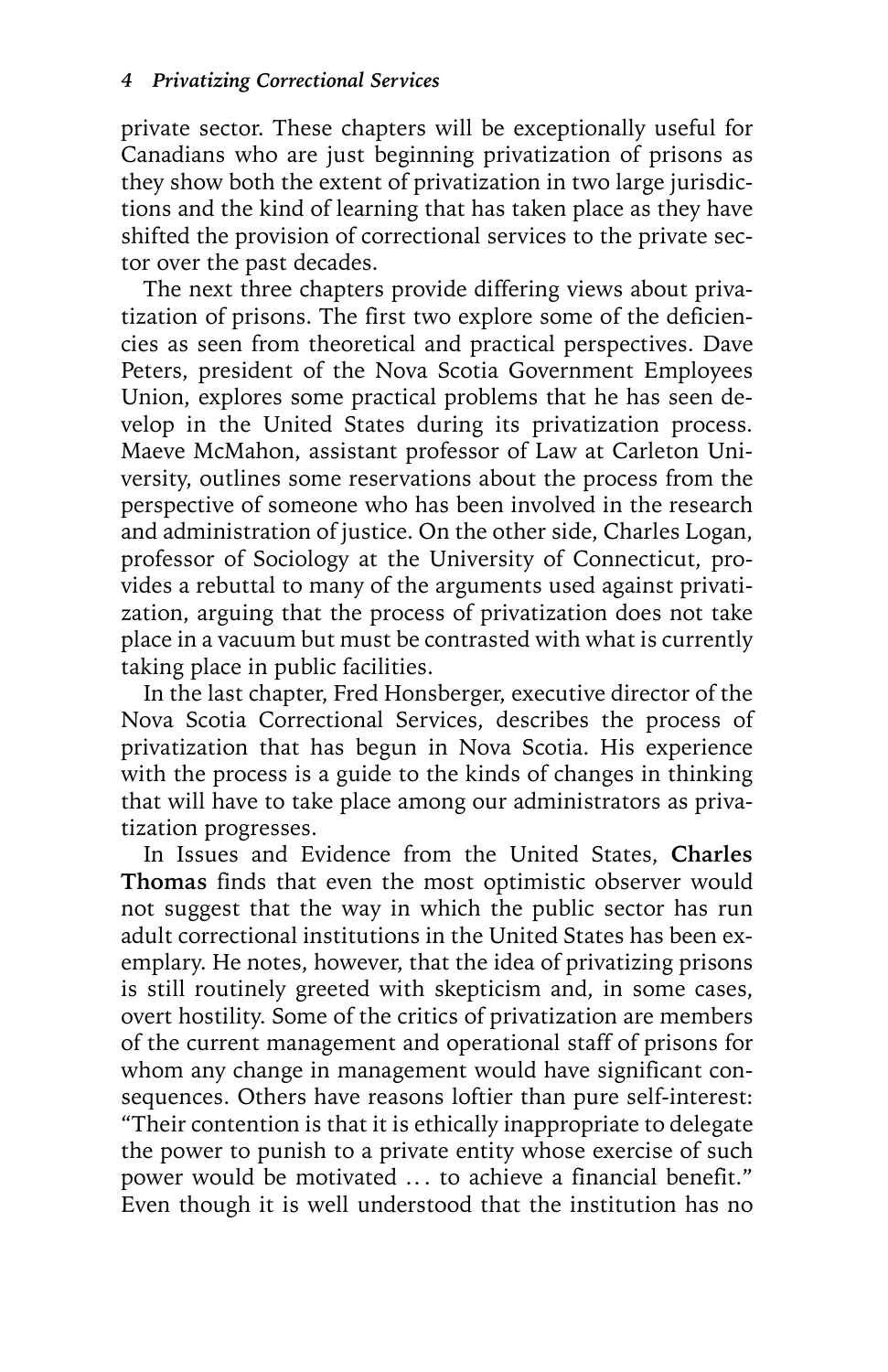private sector. These chapters will be exceptionally useful for Canadians who are just beginning privatization of prisons as they show both the extent of privatization in two large jurisdictions and the kind of learning that has taken place as they have shifted the provision of correctional services to the private sector over the past decades.

The next three chapters provide differing views about privatization of prisons. The first two explore some of the deficiencies as seen from theoretical and practical perspectives. Dave Peters, president of the Nova Scotia Government Employees Union, explores some practical problems that he has seen develop in the United States during its privatization process. Maeve McMahon, assistant professor of Law at Carleton University, outlines some reservations about the process from the perspective of someone who has been involved in the research and administration of justice. On the other side, Charles Logan, professor of Sociology at the University of Connecticut, provides a rebuttal to many of the arguments used against privatization, arguing that the process of privatization does not take place in a vacuum but must be contrasted with what is currently taking place in public facilities.

In the last chapter, Fred Honsberger, executive director of the Nova Scotia Correctional Services, describes the process of privatization that has begun in Nova Scotia. His experience with the process is a guide to the kinds of changes in thinking that will have to take place among our administrators as privatization progresses.

In Issues and Evidence from the United States, **Charles Thomas** finds that even the most optimistic observer would not suggest that the way in which the public sector has run adult correctional institutions in the United States has been exemplary. He notes, however, that the idea of privatizing prisons is still routinely greeted with skepticism and, in some cases, overt hostility. Some of the critics of privatization are members of the current management and operational staff of prisons for whom any change in management would have significant consequences. Others have reasons loftier than pure self-interest: "Their contention is that it is ethically inappropriate to delegate the power to punish to a private entity whose exercise of such power would be motivated ... to achieve a financial benefit." Even though it is well understood that the institution has no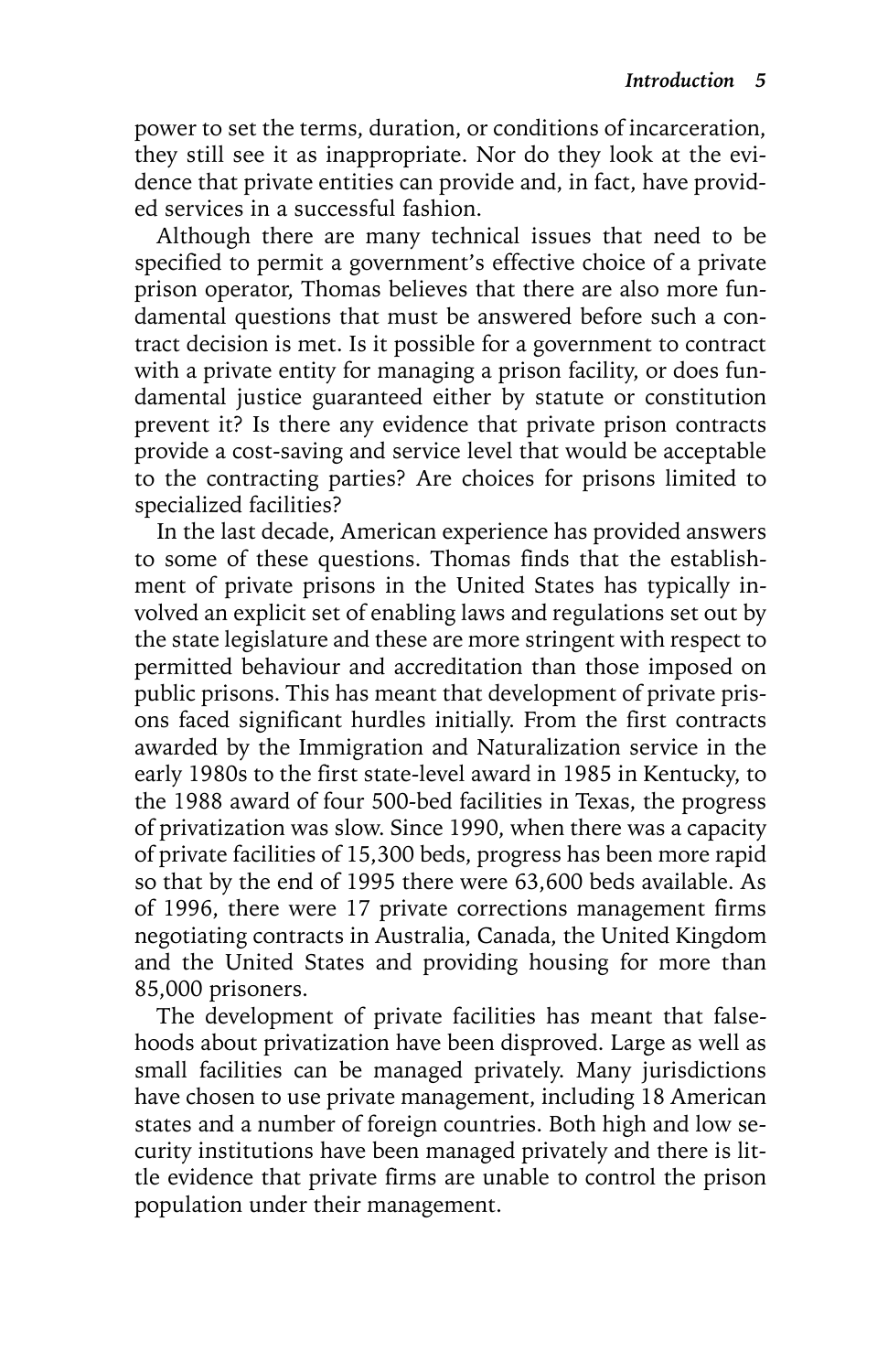power to set the terms, duration, or conditions of incarceration, they still see it as inappropriate. Nor do they look at the evidence that private entities can provide and, in fact, have provided services in a successful fashion.

Although there are many technical issues that need to be specified to permit a government's effective choice of a private prison operator, Thomas believes that there are also more fundamental questions that must be answered before such a contract decision is met. Is it possible for a government to contract with a private entity for managing a prison facility, or does fundamental justice guaranteed either by statute or constitution prevent it? Is there any evidence that private prison contracts provide a cost-saving and service level that would be acceptable to the contracting parties? Are choices for prisons limited to specialized facilities?

In the last decade, American experience has provided answers to some of these questions. Thomas finds that the establishment of private prisons in the United States has typically involved an explicit set of enabling laws and regulations set out by the state legislature and these are more stringent with respect to permitted behaviour and accreditation than those imposed on public prisons. This has meant that development of private prisons faced significant hurdles initially. From the first contracts awarded by the Immigration and Naturalization service in the early 1980s to the first state-level award in 1985 in Kentucky, to the 1988 award of four 500-bed facilities in Texas, the progress of privatization was slow. Since 1990, when there was a capacity of private facilities of 15,300 beds, progress has been more rapid so that by the end of 1995 there were 63,600 beds available. As of 1996, there were 17 private corrections management firms negotiating contracts in Australia, Canada, the United Kingdom and the United States and providing housing for more than 85,000 prisoners.

The development of private facilities has meant that falsehoods about privatization have been disproved. Large as well as small facilities can be managed privately. Many jurisdictions have chosen to use private management, including 18 American states and a number of foreign countries. Both high and low security institutions have been managed privately and there is little evidence that private firms are unable to control the prison population under their management.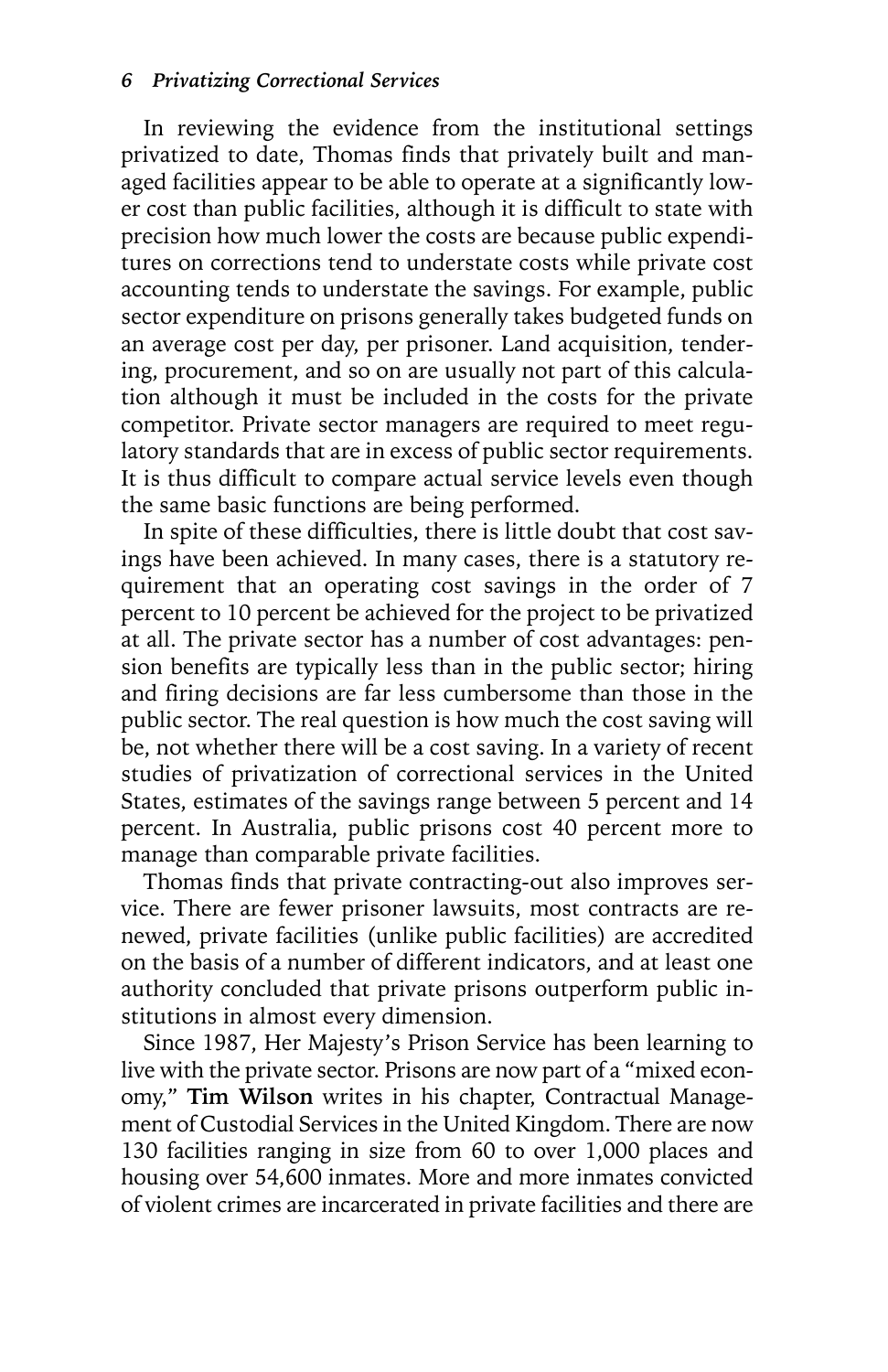In reviewing the evidence from the institutional settings privatized to date, Thomas finds that privately built and managed facilities appear to be able to operate at a significantly lower cost than public facilities, although it is difficult to state with precision how much lower the costs are because public expenditures on corrections tend to understate costs while private cost accounting tends to understate the savings. For example, public sector expenditure on prisons generally takes budgeted funds on an average cost per day, per prisoner. Land acquisition, tendering, procurement, and so on are usually not part of this calculation although it must be included in the costs for the private competitor. Private sector managers are required to meet regulatory standards that are in excess of public sector requirements. It is thus difficult to compare actual service levels even though the same basic functions are being performed.

In spite of these difficulties, there is little doubt that cost savings have been achieved. In many cases, there is a statutory requirement that an operating cost savings in the order of 7 percent to 10 percent be achieved for the project to be privatized at all. The private sector has a number of cost advantages: pension benefits are typically less than in the public sector; hiring and firing decisions are far less cumbersome than those in the public sector. The real question is how much the cost saving will be, not whether there will be a cost saving. In a variety of recent studies of privatization of correctional services in the United States, estimates of the savings range between 5 percent and 14 percent. In Australia, public prisons cost 40 percent more to manage than comparable private facilities.

Thomas finds that private contracting-out also improves service. There are fewer prisoner lawsuits, most contracts are renewed, private facilities (unlike public facilities) are accredited on the basis of a number of different indicators, and at least one authority concluded that private prisons outperform public institutions in almost every dimension.

Since 1987, Her Majesty's Prison Service has been learning to live with the private sector. Prisons are now part of a "mixed economy," **Tim Wilson** writes in his chapter, Contractual Management of Custodial Services in the United Kingdom. There are now 130 facilities ranging in size from 60 to over 1,000 places and housing over 54,600 inmates. More and more inmates convicted of violent crimes are incarcerated in private facilities and there are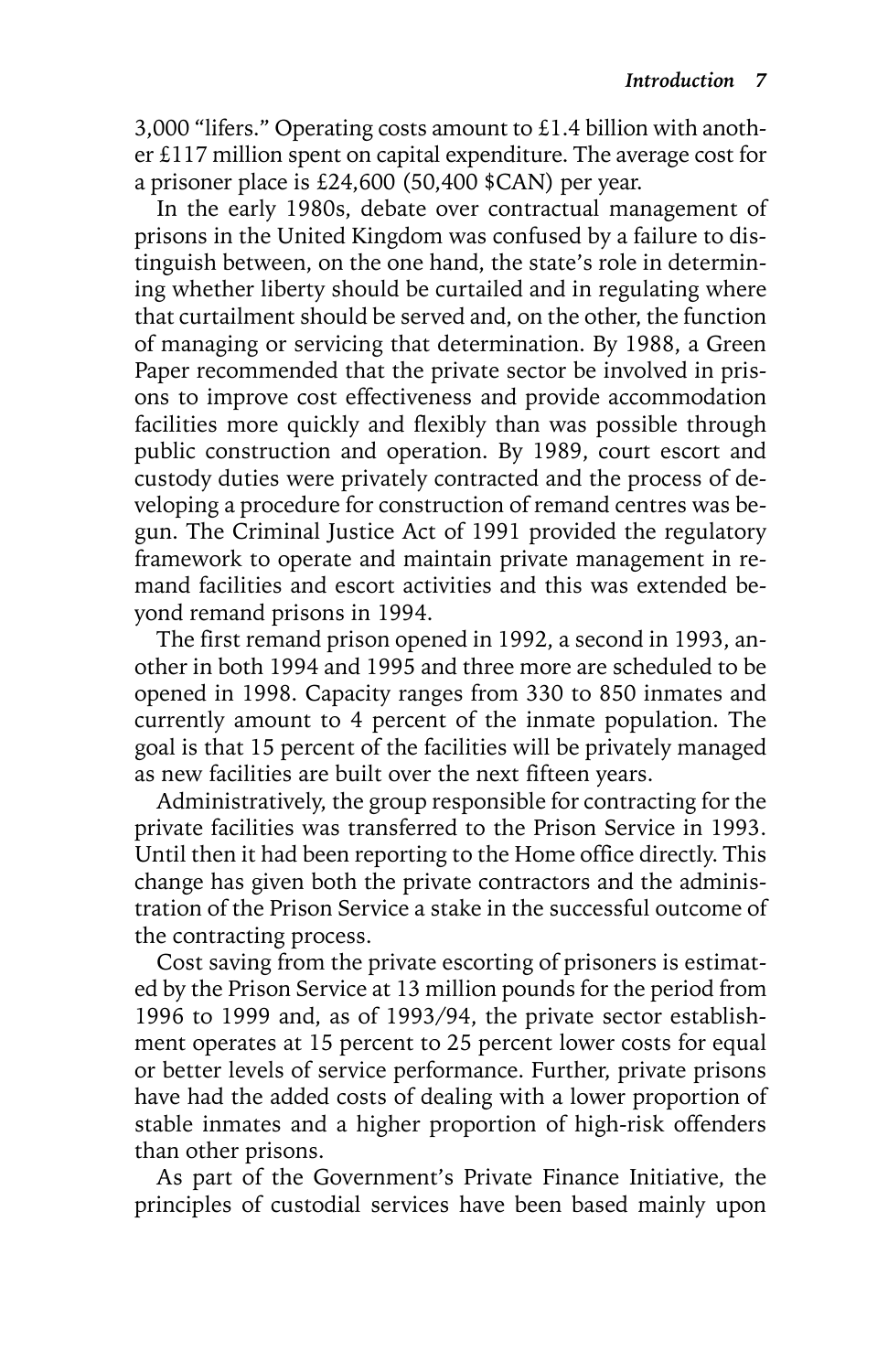3,000 "lifers." Operating costs amount to £1.4 billion with another £117 million spent on capital expenditure. The average cost for a prisoner place is £24,600 (50,400 \$CAN) per year.

In the early 1980s, debate over contractual management of prisons in the United Kingdom was confused by a failure to distinguish between, on the one hand, the state's role in determining whether liberty should be curtailed and in regulating where that curtailment should be served and, on the other, the function of managing or servicing that determination. By 1988, a Green Paper recommended that the private sector be involved in prisons to improve cost effectiveness and provide accommodation facilities more quickly and flexibly than was possible through public construction and operation. By 1989, court escort and custody duties were privately contracted and the process of developing a procedure for construction of remand centres was begun. The Criminal Justice Act of 1991 provided the regulatory framework to operate and maintain private management in remand facilities and escort activities and this was extended beyond remand prisons in 1994.

The first remand prison opened in 1992, a second in 1993, another in both 1994 and 1995 and three more are scheduled to be opened in 1998. Capacity ranges from 330 to 850 inmates and currently amount to 4 percent of the inmate population. The goal is that 15 percent of the facilities will be privately managed as new facilities are built over the next fifteen years.

Administratively, the group responsible for contracting for the private facilities was transferred to the Prison Service in 1993. Until then it had been reporting to the Home office directly. This change has given both the private contractors and the administration of the Prison Service a stake in the successful outcome of the contracting process.

Cost saving from the private escorting of prisoners is estimated by the Prison Service at 13 million pounds for the period from 1996 to 1999 and, as of 1993/94, the private sector establishment operates at 15 percent to 25 percent lower costs for equal or better levels of service performance. Further, private prisons have had the added costs of dealing with a lower proportion of stable inmates and a higher proportion of high-risk offenders than other prisons.

As part of the Government's Private Finance Initiative, the principles of custodial services have been based mainly upon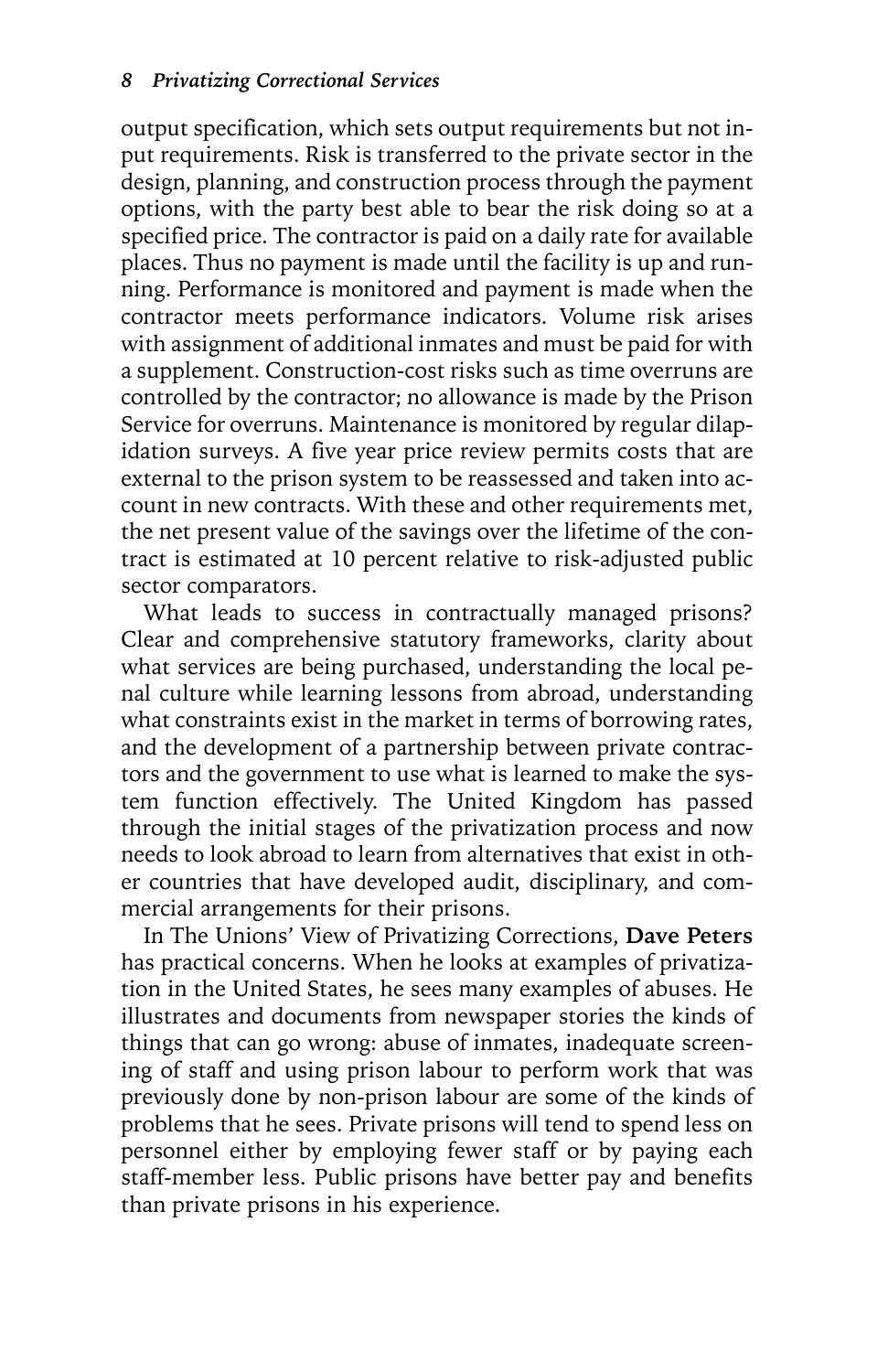output specification, which sets output requirements but not input requirements. Risk is transferred to the private sector in the design, planning, and construction process through the payment options, with the party best able to bear the risk doing so at a specified price. The contractor is paid on a daily rate for available places. Thus no payment is made until the facility is up and running. Performance is monitored and payment is made when the contractor meets performance indicators. Volume risk arises with assignment of additional inmates and must be paid for with a supplement. Construction-cost risks such as time overruns are controlled by the contractor; no allowance is made by the Prison Service for overruns. Maintenance is monitored by regular dilapidation surveys. A five year price review permits costs that are external to the prison system to be reassessed and taken into account in new contracts. With these and other requirements met, the net present value of the savings over the lifetime of the contract is estimated at 10 percent relative to risk-adjusted public sector comparators.

What leads to success in contractually managed prisons? Clear and comprehensive statutory frameworks, clarity about what services are being purchased, understanding the local penal culture while learning lessons from abroad, understanding what constraints exist in the market in terms of borrowing rates, and the development of a partnership between private contractors and the government to use what is learned to make the system function effectively. The United Kingdom has passed through the initial stages of the privatization process and now needs to look abroad to learn from alternatives that exist in other countries that have developed audit, disciplinary, and commercial arrangements for their prisons.

In The Unions' View of Privatizing Corrections, **Dave Peters** has practical concerns. When he looks at examples of privatization in the United States, he sees many examples of abuses. He illustrates and documents from newspaper stories the kinds of things that can go wrong: abuse of inmates, inadequate screening of staff and using prison labour to perform work that was previously done by non-prison labour are some of the kinds of problems that he sees. Private prisons will tend to spend less on personnel either by employing fewer staff or by paying each staff-member less. Public prisons have better pay and benefits than private prisons in his experience.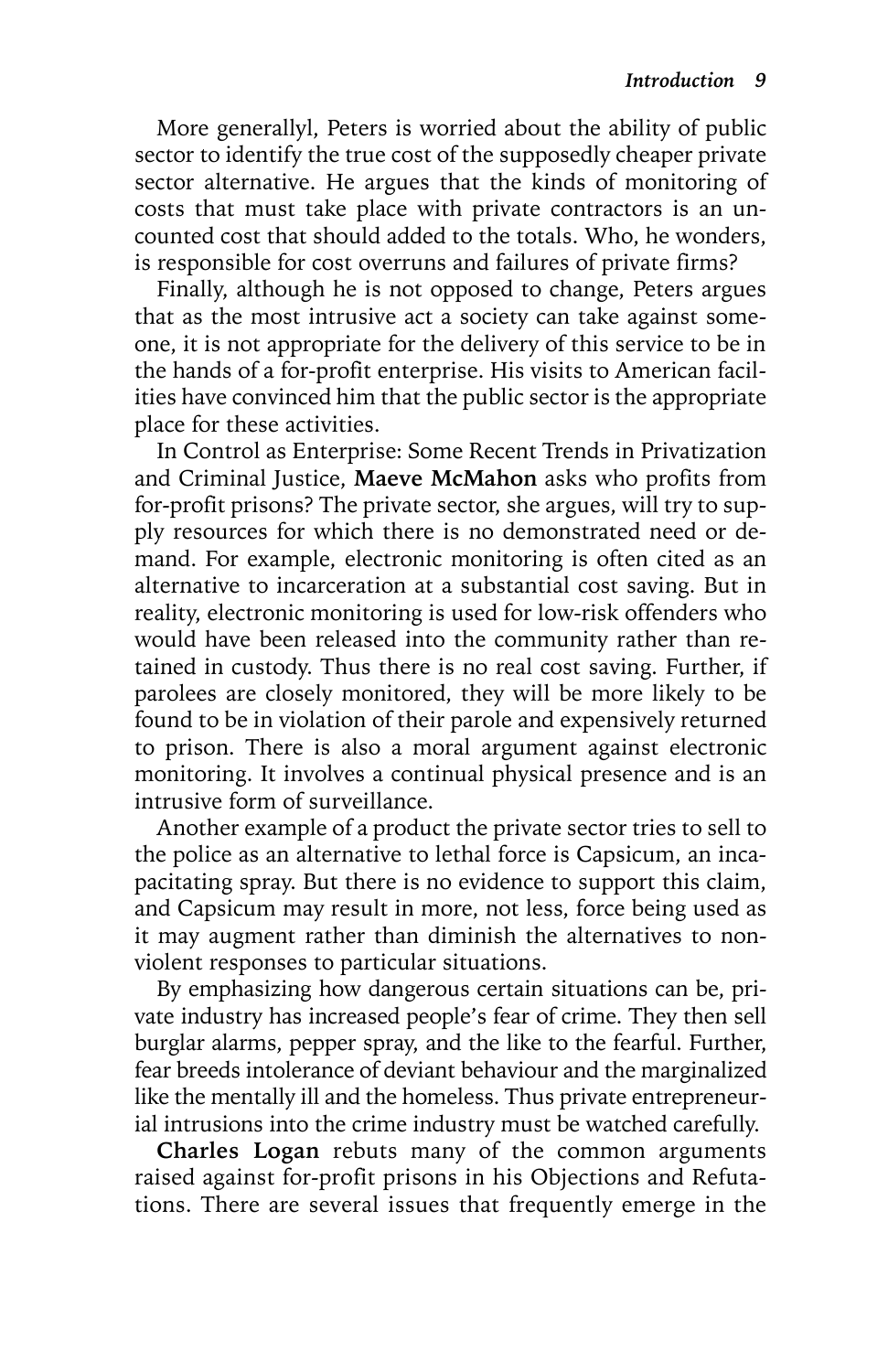More generallyl, Peters is worried about the ability of public sector to identify the true cost of the supposedly cheaper private sector alternative. He argues that the kinds of monitoring of costs that must take place with private contractors is an uncounted cost that should added to the totals. Who, he wonders, is responsible for cost overruns and failures of private firms?

Finally, although he is not opposed to change, Peters argues that as the most intrusive act a society can take against someone, it is not appropriate for the delivery of this service to be in the hands of a for-profit enterprise. His visits to American facilities have convinced him that the public sector is the appropriate place for these activities.

In Control as Enterprise: Some Recent Trends in Privatization and Criminal Justice, **Maeve McMahon** asks who profits from for-profit prisons? The private sector, she argues, will try to supply resources for which there is no demonstrated need or demand. For example, electronic monitoring is often cited as an alternative to incarceration at a substantial cost saving. But in reality, electronic monitoring is used for low-risk offenders who would have been released into the community rather than retained in custody. Thus there is no real cost saving. Further, if parolees are closely monitored, they will be more likely to be found to be in violation of their parole and expensively returned to prison. There is also a moral argument against electronic monitoring. It involves a continual physical presence and is an intrusive form of surveillance.

Another example of a product the private sector tries to sell to the police as an alternative to lethal force is Capsicum, an incapacitating spray. But there is no evidence to support this claim, and Capsicum may result in more, not less, force being used as it may augment rather than diminish the alternatives to nonviolent responses to particular situations.

By emphasizing how dangerous certain situations can be, private industry has increased people's fear of crime. They then sell burglar alarms, pepper spray, and the like to the fearful. Further, fear breeds intolerance of deviant behaviour and the marginalized like the mentally ill and the homeless. Thus private entrepreneurial intrusions into the crime industry must be watched carefully.

**Charles Logan** rebuts many of the common arguments raised against for-profit prisons in his Objections and Refutations. There are several issues that frequently emerge in the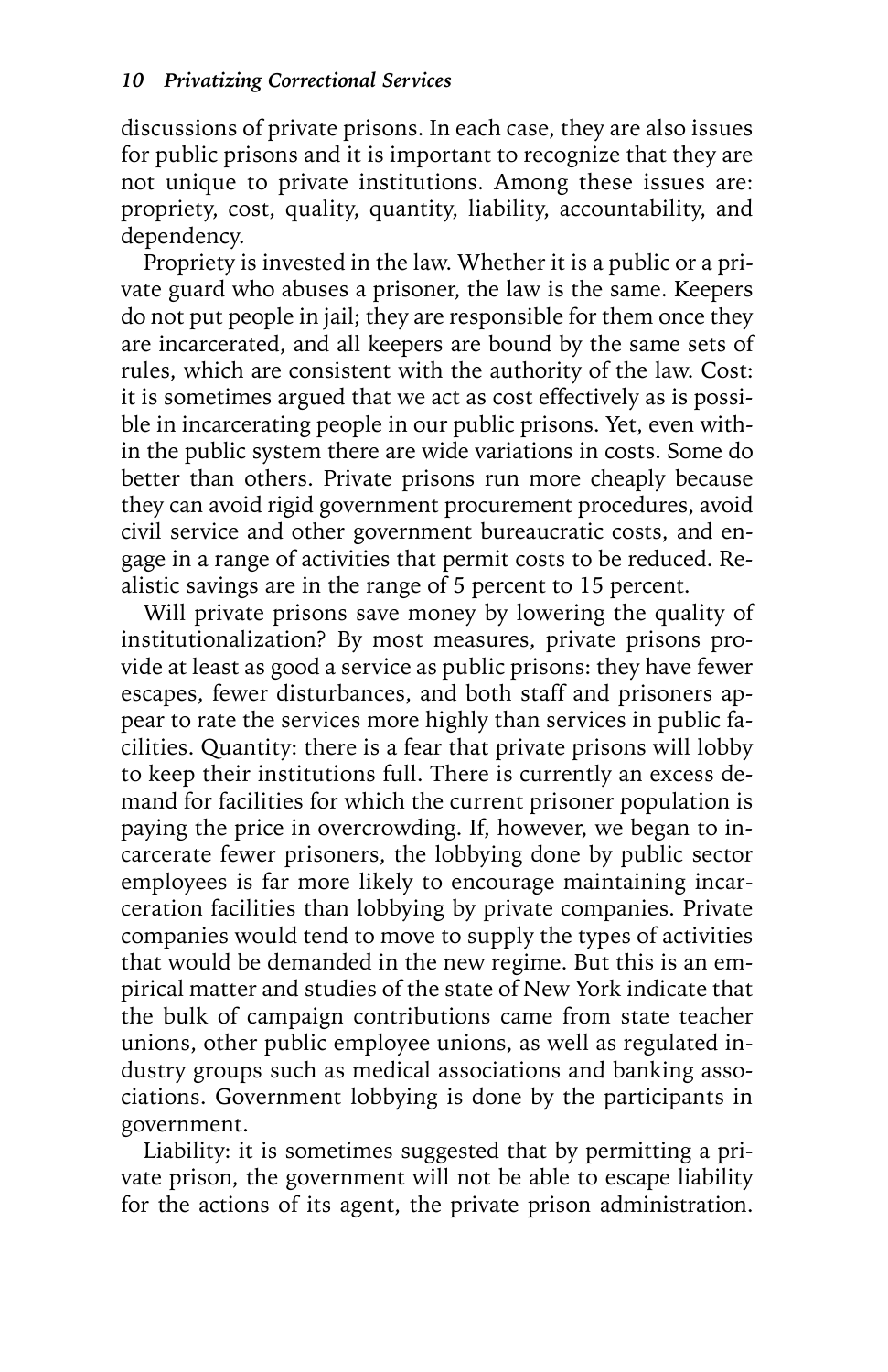discussions of private prisons. In each case, they are also issues for public prisons and it is important to recognize that they are not unique to private institutions. Among these issues are: propriety, cost, quality, quantity, liability, accountability, and dependency.

Propriety is invested in the law. Whether it is a public or a private guard who abuses a prisoner, the law is the same. Keepers do not put people in jail; they are responsible for them once they are incarcerated, and all keepers are bound by the same sets of rules, which are consistent with the authority of the law. Cost: it is sometimes argued that we act as cost effectively as is possible in incarcerating people in our public prisons. Yet, even within the public system there are wide variations in costs. Some do better than others. Private prisons run more cheaply because they can avoid rigid government procurement procedures, avoid civil service and other government bureaucratic costs, and engage in a range of activities that permit costs to be reduced. Realistic savings are in the range of 5 percent to 15 percent.

Will private prisons save money by lowering the quality of institutionalization? By most measures, private prisons provide at least as good a service as public prisons: they have fewer escapes, fewer disturbances, and both staff and prisoners appear to rate the services more highly than services in public facilities. Quantity: there is a fear that private prisons will lobby to keep their institutions full. There is currently an excess demand for facilities for which the current prisoner population is paying the price in overcrowding. If, however, we began to incarcerate fewer prisoners, the lobbying done by public sector employees is far more likely to encourage maintaining incarceration facilities than lobbying by private companies. Private companies would tend to move to supply the types of activities that would be demanded in the new regime. But this is an empirical matter and studies of the state of New York indicate that the bulk of campaign contributions came from state teacher unions, other public employee unions, as well as regulated industry groups such as medical associations and banking associations. Government lobbying is done by the participants in government.

Liability: it is sometimes suggested that by permitting a private prison, the government will not be able to escape liability for the actions of its agent, the private prison administration.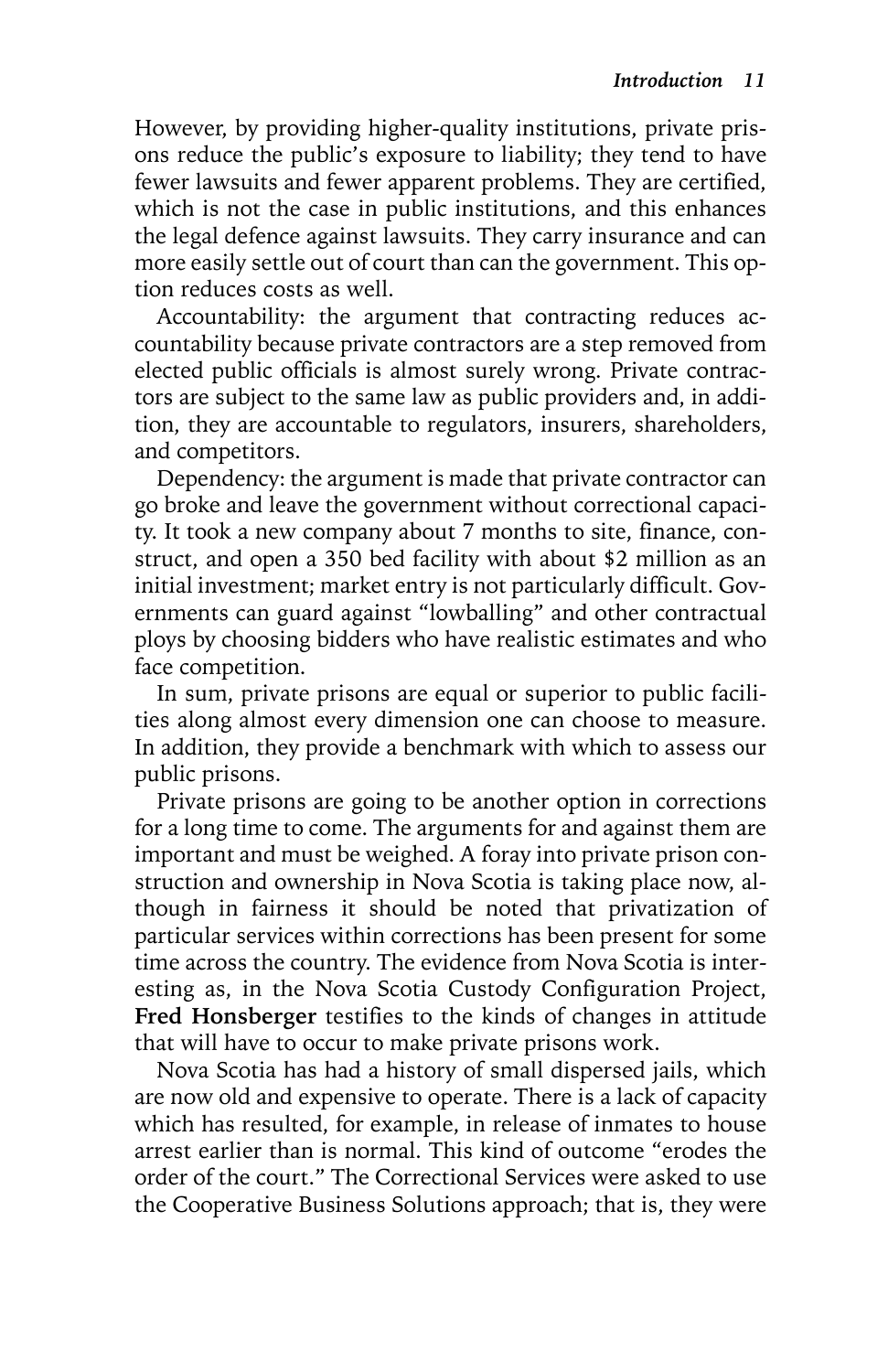However, by providing higher-quality institutions, private prisons reduce the public's exposure to liability; they tend to have fewer lawsuits and fewer apparent problems. They are certified, which is not the case in public institutions, and this enhances the legal defence against lawsuits. They carry insurance and can more easily settle out of court than can the government. This option reduces costs as well.

Accountability: the argument that contracting reduces accountability because private contractors are a step removed from elected public officials is almost surely wrong. Private contractors are subject to the same law as public providers and, in addition, they are accountable to regulators, insurers, shareholders, and competitors.

Dependency: the argument is made that private contractor can go broke and leave the government without correctional capacity. It took a new company about 7 months to site, finance, construct, and open a 350 bed facility with about \$2 million as an initial investment; market entry is not particularly difficult. Governments can guard against "lowballing" and other contractual ploys by choosing bidders who have realistic estimates and who face competition.

In sum, private prisons are equal or superior to public facilities along almost every dimension one can choose to measure. In addition, they provide a benchmark with which to assess our public prisons.

Private prisons are going to be another option in corrections for a long time to come. The arguments for and against them are important and must be weighed. A foray into private prison construction and ownership in Nova Scotia is taking place now, although in fairness it should be noted that privatization of particular services within corrections has been present for some time across the country. The evidence from Nova Scotia is interesting as, in the Nova Scotia Custody Configuration Project, **Fred Honsberger** testifies to the kinds of changes in attitude that will have to occur to make private prisons work.

Nova Scotia has had a history of small dispersed jails, which are now old and expensive to operate. There is a lack of capacity which has resulted, for example, in release of inmates to house arrest earlier than is normal. This kind of outcome "erodes the order of the court." The Correctional Services were asked to use the Cooperative Business Solutions approach; that is, they were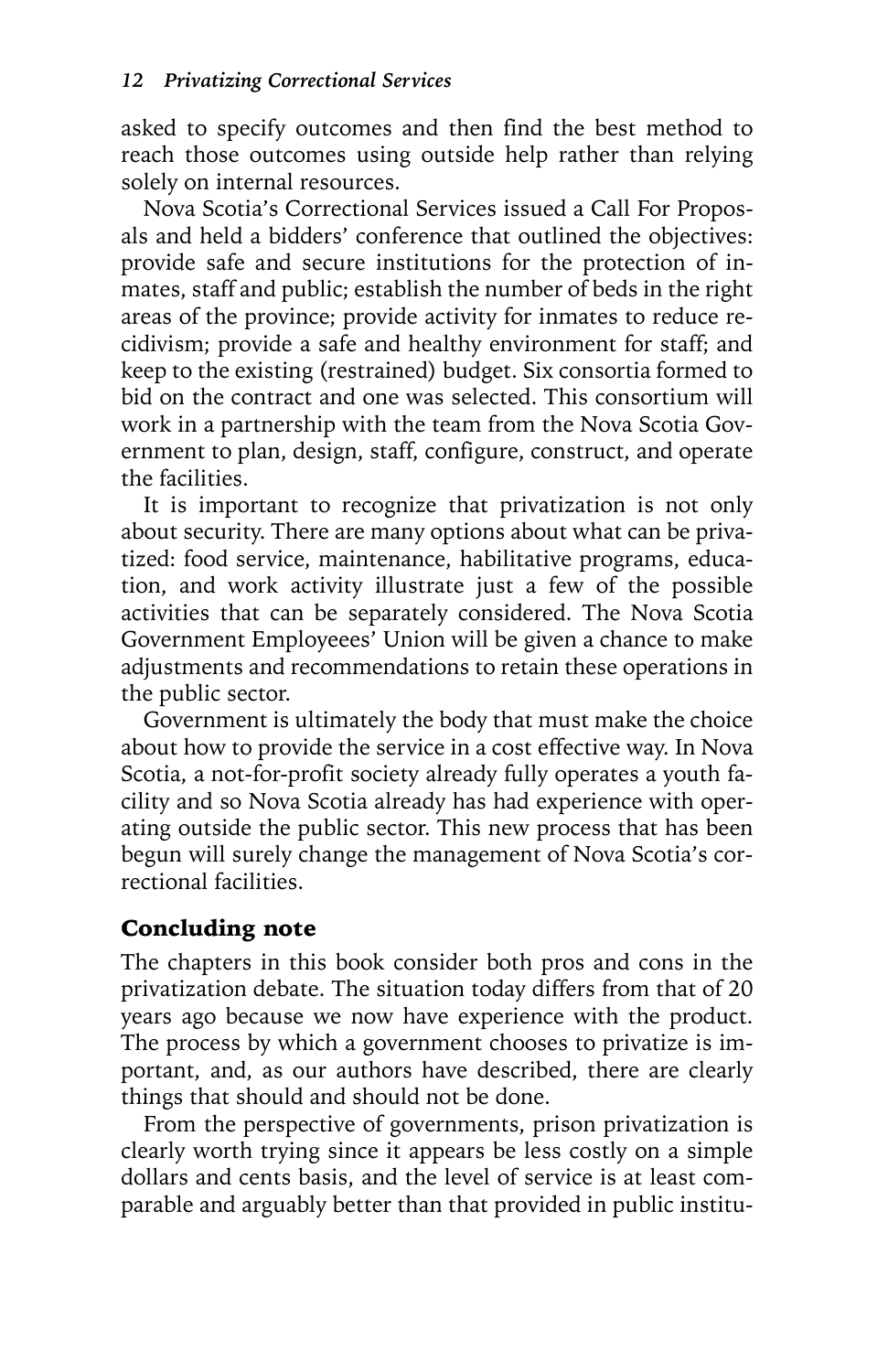asked to specify outcomes and then find the best method to reach those outcomes using outside help rather than relying solely on internal resources.

Nova Scotia's Correctional Services issued a Call For Proposals and held a bidders' conference that outlined the objectives: provide safe and secure institutions for the protection of inmates, staff and public; establish the number of beds in the right areas of the province; provide activity for inmates to reduce recidivism; provide a safe and healthy environment for staff; and keep to the existing (restrained) budget. Six consortia formed to bid on the contract and one was selected. This consortium will work in a partnership with the team from the Nova Scotia Government to plan, design, staff, configure, construct, and operate the facilities.

It is important to recognize that privatization is not only about security. There are many options about what can be privatized: food service, maintenance, habilitative programs, education, and work activity illustrate just a few of the possible activities that can be separately considered. The Nova Scotia Government Employeees' Union will be given a chance to make adjustments and recommendations to retain these operations in the public sector.

Government is ultimately the body that must make the choice about how to provide the service in a cost effective way. In Nova Scotia, a not-for-profit society already fully operates a youth facility and so Nova Scotia already has had experience with operating outside the public sector. This new process that has been begun will surely change the management of Nova Scotia's correctional facilities.

### Concluding note

The chapters in this book consider both pros and cons in the privatization debate. The situation today differs from that of 20 years ago because we now have experience with the product. The process by which a government chooses to privatize is important, and, as our authors have described, there are clearly things that should and should not be done.

From the perspective of governments, prison privatization is clearly worth trying since it appears be less costly on a simple dollars and cents basis, and the level of service is at least comparable and arguably better than that provided in public institu